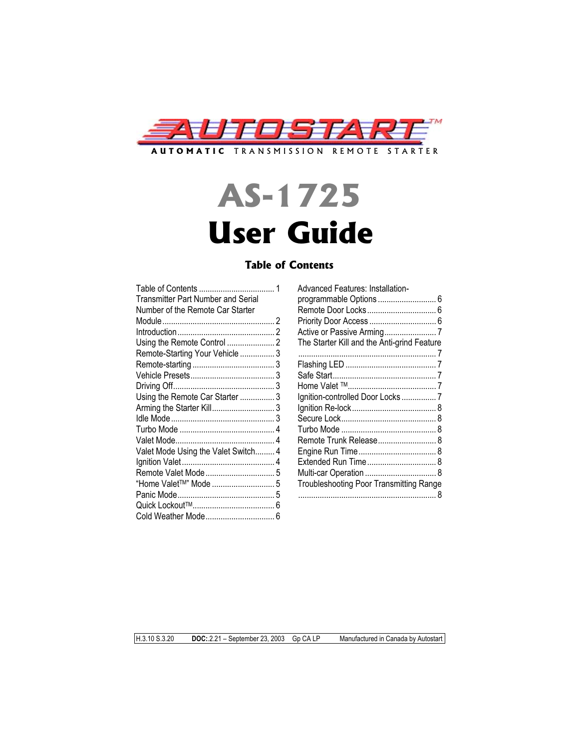

# **AS-1725 User Guide**

# **Table of Contents**

|                                           | <b>Advanced Features: Installation-</b>        |  |
|-------------------------------------------|------------------------------------------------|--|
| <b>Transmitter Part Number and Serial</b> |                                                |  |
| Number of the Remote Car Starter          |                                                |  |
|                                           |                                                |  |
|                                           |                                                |  |
|                                           | The Starter Kill and the Anti-grind Feature    |  |
| Remote-Starting Your Vehicle  3           |                                                |  |
|                                           |                                                |  |
|                                           |                                                |  |
|                                           |                                                |  |
| Using the Remote Car Starter 3            | Ignition-controlled Door Locks  7              |  |
| Arming the Starter Kill3                  |                                                |  |
|                                           |                                                |  |
|                                           |                                                |  |
|                                           |                                                |  |
| Valet Mode Using the Valet Switch 4       |                                                |  |
|                                           |                                                |  |
|                                           |                                                |  |
| "Home Valet <sup>™</sup> " Mode  5        | <b>Troubleshooting Poor Transmitting Range</b> |  |
|                                           |                                                |  |
|                                           |                                                |  |
|                                           |                                                |  |

| <b>Advanced Features: Installation-</b>        |  |
|------------------------------------------------|--|
|                                                |  |
|                                                |  |
|                                                |  |
|                                                |  |
|                                                |  |
| The Starter Kill and the Anti-grind Feature    |  |
|                                                |  |
|                                                |  |
|                                                |  |
|                                                |  |
| Ignition-controlled Door Locks  7              |  |
|                                                |  |
|                                                |  |
|                                                |  |
| Remote Trunk Release 8                         |  |
|                                                |  |
|                                                |  |
|                                                |  |
| <b>Troubleshooting Poor Transmitting Range</b> |  |
|                                                |  |
|                                                |  |

H.3.10 S.3.20 **DOC:**.2.21 – September 23, 2003 Gp CA LP Manufactured in Canada by Autostart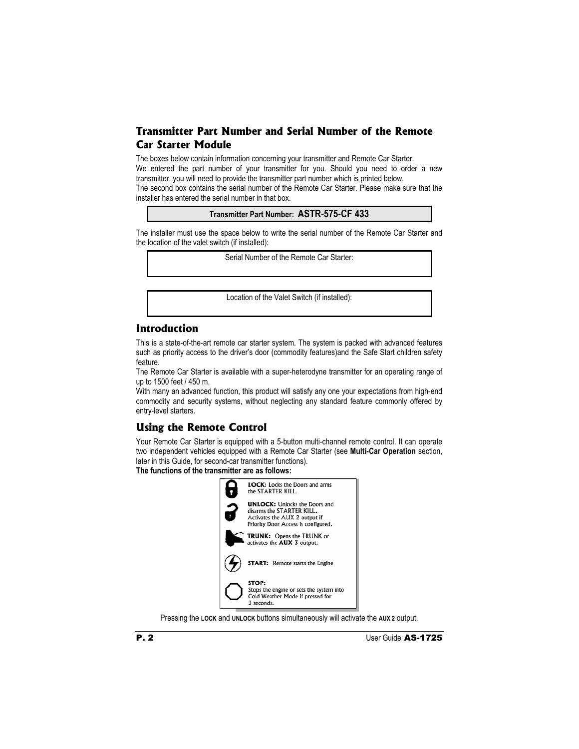# **Transmitter Part Number and Serial Number of the Remote Car Starter Module**

The boxes below contain information concerning your transmitter and Remote Car Starter. We entered the part number of your transmitter for you. Should you need to order a new transmitter, you will need to provide the transmitter part number which is printed below. The second box contains the serial number of the Remote Car Starter. Please make sure that the installer has entered the serial number in that box.

**Transmitter Part Number: ASTR-575-CF 433**

The installer must use the space below to write the serial number of the Remote Car Starter and the location of the valet switch (if installed):

Serial Number of the Remote Car Starter:

Location of the Valet Switch (if installed):

# **Introduction**

This is a state-of-the-art remote car starter system. The system is packed with advanced features such as priority access to the driver's door (commodity features)and the Safe Start children safety feature.

The Remote Car Starter is available with a super-heterodyne transmitter for an operating range of up to 1500 feet / 450 m.

With many an advanced function, this product will satisfy any one your expectations from high-end commodity and security systems, without neglecting any standard feature commonly offered by entry-level starters.

# **Using the Remote Control**

Your Remote Car Starter is equipped with a 5-button multi-channel remote control. It can operate two independent vehicles equipped with a Remote Car Starter (see **Multi-Car Operation** section, later in this Guide, for second-car transmitter functions).

**The functions of the transmitter are as follows:** 



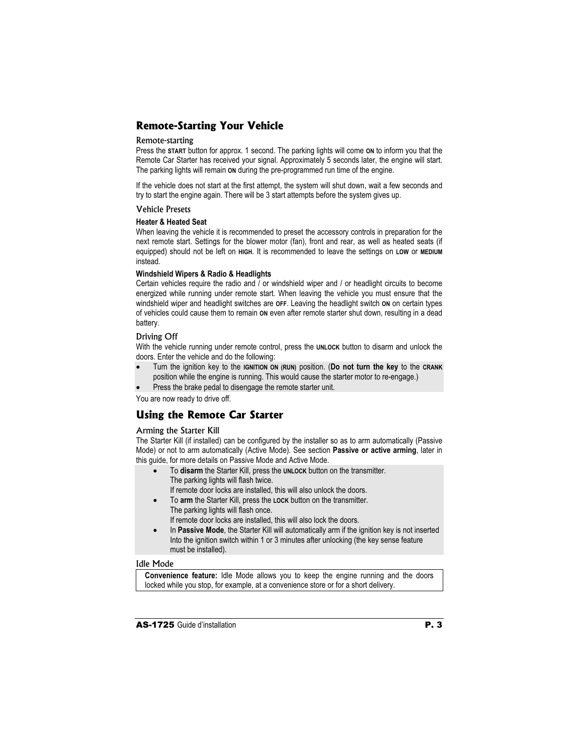# **Remote-Starting Your Vehicle**

#### Remote-starting

Press the **START** button for approx. 1 second. The parking lights will come **ON** to inform you that the Remote Car Starter has received your signal. Approximately 5 seconds later, the engine will start. The parking lights will remain **ON** during the pre-programmed run time of the engine.

If the vehicle does not start at the first attempt, the system will shut down, wait a few seconds and try to start the engine again. There will be 3 start attempts before the system gives up.

#### Vehicle Presets

#### **Heater & Heated Seat**

When leaving the vehicle it is recommended to preset the accessory controls in preparation for the next remote start. Settings for the blower motor (fan), front and rear, as well as heated seats (if equipped) should not be left on **HIGH**. It is recommended to leave the settings on **LOW** or **MEDIUM** instead.

#### **Windshield Wipers & Radio & Headlights**

Certain vehicles require the radio and / or windshield wiper and / or headlight circuits to become energized while running under remote start. When leaving the vehicle you must ensure that the windshield wiper and headlight switches are **OFF**. Leaving the headlight switch **ON** on certain types of vehicles could cause them to remain **ON** even after remote starter shut down, resulting in a dead battery.

#### Driving Off

With the vehicle running under remote control, press the **UNLOCK** button to disarm and unlock the doors. Enter the vehicle and do the following:

- x Turn the ignition key to the **IGNITION ON (RUN)** position. (**Do not turn the key** to the **CRANK** position while the engine is running. This would cause the starter motor to re-engage.)
- Press the brake pedal to disengage the remote starter unit.

You are now ready to drive off.

# **Using the Remote Car Starter**

#### Arming the Starter Kill

The Starter Kill (if installed) can be configured by the installer so as to arm automatically (Passive Mode) or not to arm automatically (Active Mode). See section **Passive or active arming**, later in this guide, for more details on Passive Mode and Active Mode.

- To disarm the Starter Kill, press the UNLOCK button on the transmitter. The parking lights will flash twice. If remote door locks are installed, this will also unlock the doors.
- x To **arm** the Starter Kill, press the **LOCK** button on the transmitter. The parking lights will flash once.

If remote door locks are installed, this will also lock the doors.

In Passive Mode, the Starter Kill will automatically arm if the ignition key is not inserted Into the ignition switch within 1 or 3 minutes after unlocking (the key sense feature must be installed).

#### Idle Mode

**Convenience feature:** Idle Mode allows you to keep the engine running and the doors locked while you stop, for example, at a convenience store or for a short delivery.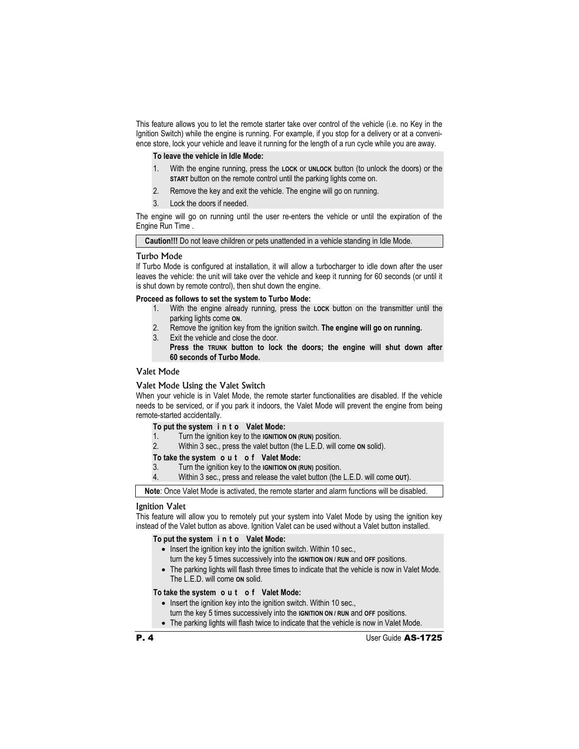This feature allows you to let the remote starter take over control of the vehicle (i.e. no Key in the Ignition Switch) while the engine is running. For example, if you stop for a delivery or at a convenience store, lock your vehicle and leave it running for the length of a run cycle while you are away.

**To leave the vehicle in Idle Mode:** 

- 1. With the engine running, press the **LOCK** or **UNLOCK** button (to unlock the doors) or the **START** button on the remote control until the parking lights come on.
- 2. Remove the key and exit the vehicle. The engine will go on running.
- 3. Lock the doors if needed.

The engine will go on running until the user re-enters the vehicle or until the expiration of the Engine Run Time .

**Caution!!!** Do not leave children or pets unattended in a vehicle standing in Idle Mode.

#### Turbo Mode

If Turbo Mode is configured at installation, it will allow a turbocharger to idle down after the user leaves the vehicle: the unit will take over the vehicle and keep it running for 60 seconds (or until it is shut down by remote control), then shut down the engine.

**Proceed as follows to set the system to Turbo Mode:** 

- 1. With the engine already running, press the **LOCK** button on the transmitter until the parking lights come **ON**.
- 2. Remove the ignition key from the ignition switch. **The engine will go on running.**
- 3. Exit the vehicle and close the door.

 **Press the TRUNK button to lock the doors; the engine will shut down after 60 seconds of Turbo Mode.** 

#### Valet Mode

#### Valet Mode Using the Valet Switch

When your vehicle is in Valet Mode, the remote starter functionalities are disabled. If the vehicle needs to be serviced, or if you park it indoors, the Valet Mode will prevent the engine from being remote-started accidentally.

| To put the system in to Valet Mode: |  |  |  |  |  |  |
|-------------------------------------|--|--|--|--|--|--|
|-------------------------------------|--|--|--|--|--|--|

- 1. Turn the ignition key to the **IGNITION ON (RUN)** position.<br>2 Within 3 sec. press the valet button (the LED will co
- 2. Within 3 sec., press the valet button (the L.E.D. will come **ON** solid).

**To take the system o u t o f Valet Mode:**<br>3. Turn the ignition key to the **IGNITION ON (I** 

3. Turn the ignition key to the **IGNITION ON (RUN)** position.

4. Within 3 sec., press and release the valet button (the L.E.D. will come **OUT**).

**Note**: Once Valet Mode is activated, the remote starter and alarm functions will be disabled.

### Ignition Valet

This feature will allow you to remotely put your system into Valet Mode by using the ignition key instead of the Valet button as above. Ignition Valet can be used without a Valet button installed.

#### **To put the system i n t o Valet Mode:**

- $\bullet$  Insert the ignition key into the ignition switch. Within 10 sec.,
	- turn the key 5 times successively into the **IGNITION ON / RUN** and **OFF** positions.
- The parking lights will flash three times to indicate that the vehicle is now in Valet Mode. The L.E.D. will come **ON** solid.

# **To take the system o u t o f Valet Mode:**

- Insert the ignition key into the ignition switch. Within 10 sec.,
	- turn the key 5 times successively into the **IGNITION ON / RUN** and **OFF** positions.
- The parking lights will flash twice to indicate that the vehicle is now in Valet Mode.

**P. 4** User Guide **AS-1725**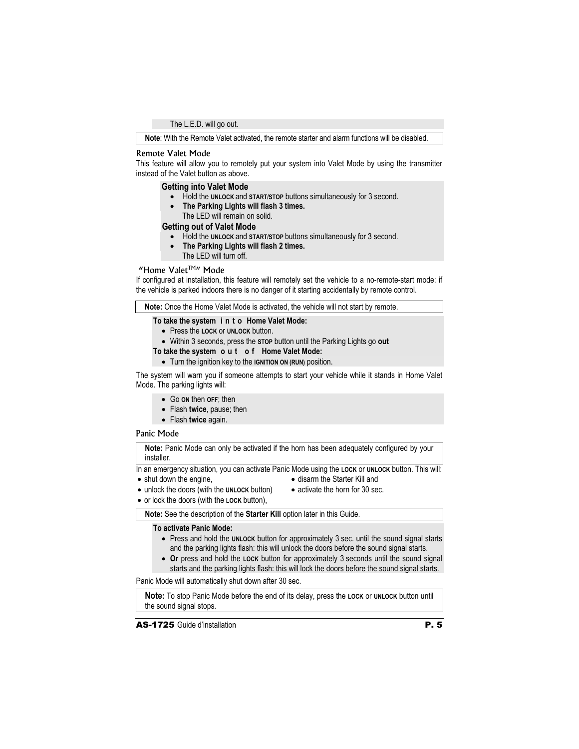The L.E.D. will go out.

**Note**: With the Remote Valet activated, the remote starter and alarm functions will be disabled.

#### Remote Valet Mode

This feature will allow you to remotely put your system into Valet Mode by using the transmitter instead of the Valet button as above.

#### **Getting into Valet Mode**

- x Hold the **UNLOCK** and **START/STOP** buttons simultaneously for 3 second.
- x **The Parking Lights will flash 3 times.**
- The LED will remain on solid.

#### **Getting out of Valet Mode**

- Hold the **UNLOCK** and **START/STOP** buttons simultaneously for 3 second.
- x **The Parking Lights will flash 2 times.**
- The LED will turn off.

## "Home Valet<sup>TM"</sup> Mode

If configured at installation, this feature will remotely set the vehicle to a no-remote-start mode: if the vehicle is parked indoors there is no danger of it starting accidentally by remote control.

**Note:** Once the Home Valet Mode is activated, the vehicle will not start by remote.

#### **To take the system i n t o Home Valet Mode:**

- x Press the **LOCK** or **UNLOCK** button.
- x Within 3 seconds, press the **STOP** button until the Parking Lights go **out**
- **To take the system o u t o f Home Valet Mode:** 
	- **•** Turn the ignition key to the **IGNITION ON (RUN)** position.

The system will warn you if someone attempts to start your vehicle while it stands in Home Valet Mode. The parking lights will:

- x Go **ON** then **OFF**; then
- x Flash **twice**, pause; then
- x Flash **twice** again.

#### Panic Mode

**Note:** Panic Mode can only be activated if the horn has been adequately configured by your installer.

In an emergency situation, you can activate Panic Mode using the **LOCK** or **UNLOCK** button. This will:

 $\bullet$  shut down the engine,

- disarm the Starter Kill and
- x unlock the doors (with the **UNLOCK** button)
- $\bullet$  activate the horn for 30 sec.
- x or lock the doors (with the **LOCK** button),
	- **Note:** See the description of the **Starter Kill** option later in this Guide.

#### **To activate Panic Mode:**

- Press and hold the **UNLOCK** button for approximately 3 sec. until the sound signal starts and the parking lights flash: this will unlock the doors before the sound signal starts.
- Or press and hold the LOCK button for approximately 3 seconds until the sound signal starts and the parking lights flash: this will lock the doors before the sound signal starts.

Panic Mode will automatically shut down after 30 sec.

**Note:** To stop Panic Mode before the end of its delay, press the **LOCK** or **UNLOCK** button until the sound signal stops.

**AS-1725** Guide d'installation **P. 5**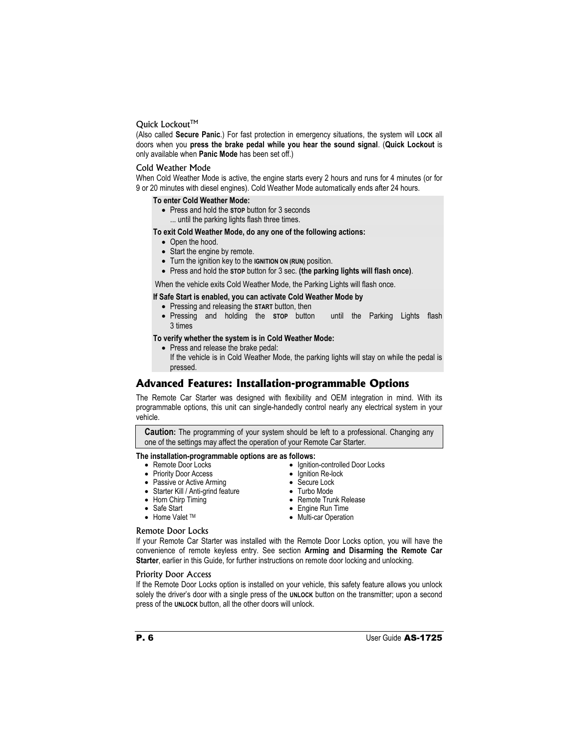#### Quick Lockout™

(Also called **Secure Panic**.) For fast protection in emergency situations, the system will **LOCK** all doors when you **press the brake pedal while you hear the sound signal**. (**Quick Lockout** is only available when **Panic Mode** has been set off.)

#### Cold Weather Mode

When Cold Weather Mode is active, the engine starts every 2 hours and runs for 4 minutes (or for 9 or 20 minutes with diesel engines). Cold Weather Mode automatically ends after 24 hours.

#### **To enter Cold Weather Mode:**

- x Press and hold the **STOP** button for 3 seconds
- ... until the parking lights flash three times.

**To exit Cold Weather Mode, do any one of the following actions:** 

- Open the hood.
- Start the engine by remote.
- **•** Turn the ignition key to the **IGNITION ON (RUN)** position.
- x Press and hold the **STOP** button for 3 sec. **(the parking lights will flash once)**.

When the vehicle exits Cold Weather Mode, the Parking Lights will flash once.

#### **If Safe Start is enabled, you can activate Cold Weather Mode by**

- **•** Pressing and releasing the START button, then
- Pressing and holding the stop button until the Parking Lights flash 3 times

# **To verify whether the system is in Cold Weather Mode:**

• Press and release the brake pedal:

 If the vehicle is in Cold Weather Mode, the parking lights will stay on while the pedal is pressed.

# **Advanced Features: Installation-programmable Options**

The Remote Car Starter was designed with flexibility and OEM integration in mind. With its programmable options, this unit can single-handedly control nearly any electrical system in your vehicle.

**Caution:** The programming of your system should be left to a professional. Changing any one of the settings may affect the operation of your Remote Car Starter.

#### **The installation-programmable options are as follows:**  • Ignition-controlled Door Locks

- Remote Door Locks
- Priority Door Access
- Passive or Active Arming
- Starter Kill / Anti-grind feature
- Horn Chirp Timing
- Safe Start
- Home Valet TM
- 

- Remote Trunk Release • Engine Run Time
- Multi-car Operation

• Ignition Re-lock • Secure Lock • Turbo Mode

# Remote Door Locks

If your Remote Car Starter was installed with the Remote Door Locks option, you will have the convenience of remote keyless entry. See section **Arming and Disarming the Remote Car Starter**, earlier in this Guide, for further instructions on remote door locking and unlocking.

#### Priority Door Access

If the Remote Door Locks option is installed on your vehicle, this safety feature allows you unlock solely the driver's door with a single press of the **UNLOCK** button on the transmitter; upon a second press of the **UNLOCK** button, all the other doors will unlock.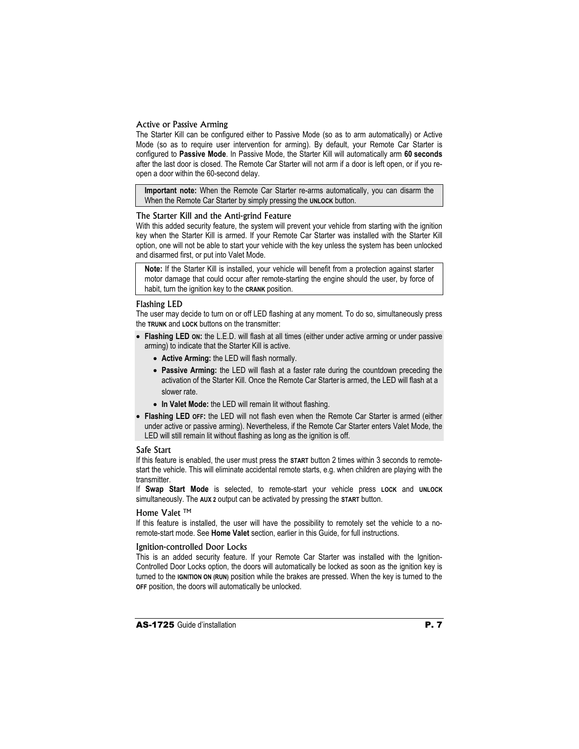#### Active or Passive Arming

The Starter Kill can be configured either to Passive Mode (so as to arm automatically) or Active Mode (so as to require user intervention for arming). By default, your Remote Car Starter is configured to **Passive Mode**. In Passive Mode, the Starter Kill will automatically arm **60 seconds**  after the last door is closed. The Remote Car Starter will not arm if a door is left open, or if you reopen a door within the 60-second delay.

**Important note:** When the Remote Car Starter re-arms automatically, you can disarm the When the Remote Car Starter by simply pressing the **UNLOCK** button.

#### The Starter Kill and the Anti-grind Feature

With this added security feature, the system will prevent your vehicle from starting with the ignition key when the Starter Kill is armed. If your Remote Car Starter was installed with the Starter Kill option, one will not be able to start your vehicle with the key unless the system has been unlocked and disarmed first, or put into Valet Mode.

**Note:** If the Starter Kill is installed, your vehicle will benefit from a protection against starter motor damage that could occur after remote-starting the engine should the user, by force of habit, turn the ignition key to the **CRANK** position.

#### Flashing LED

The user may decide to turn on or off LED flashing at any moment. To do so, simultaneously press the **TRUNK** and **LOCK** buttons on the transmitter:

- Flashing LED on: the L.E.D. will flash at all times (either under active arming or under passive arming) to indicate that the Starter Kill is active.
	- x **Active Arming:** the LED will flash normally.
	- Passive Arming: the LED will flash at a faster rate during the countdown preceding the activation of the Starter Kill. Once the Remote Car Starter is armed, the LED will flash at a slower rate.
	- In Valet Mode: the LED will remain lit without flashing.
- **Flashing LED OFF:** the LED will not flash even when the Remote Car Starter is armed (either under active or passive arming). Nevertheless, if the Remote Car Starter enters Valet Mode, the LED will still remain lit without flashing as long as the ignition is off.

#### Safe Start

If this feature is enabled, the user must press the **START** button 2 times within 3 seconds to remotestart the vehicle. This will eliminate accidental remote starts, e.g. when children are playing with the transmitter.

If **Swap Start Mode** is selected, to remote-start your vehicle press **LOCK** and **UNLOCK** simultaneously. The **AUX 2** output can be activated by pressing the **START** button.

# Home Valet ™

If this feature is installed, the user will have the possibility to remotely set the vehicle to a noremote-start mode. See **Home Valet** section, earlier in this Guide, for full instructions.

#### Ignition-controlled Door Locks

This is an added security feature. If your Remote Car Starter was installed with the Ignition-Controlled Door Locks option, the doors will automatically be locked as soon as the ignition key is turned to the **IGNITION ON (RUN)** position while the brakes are pressed. When the key is turned to the **OFF** position, the doors will automatically be unlocked.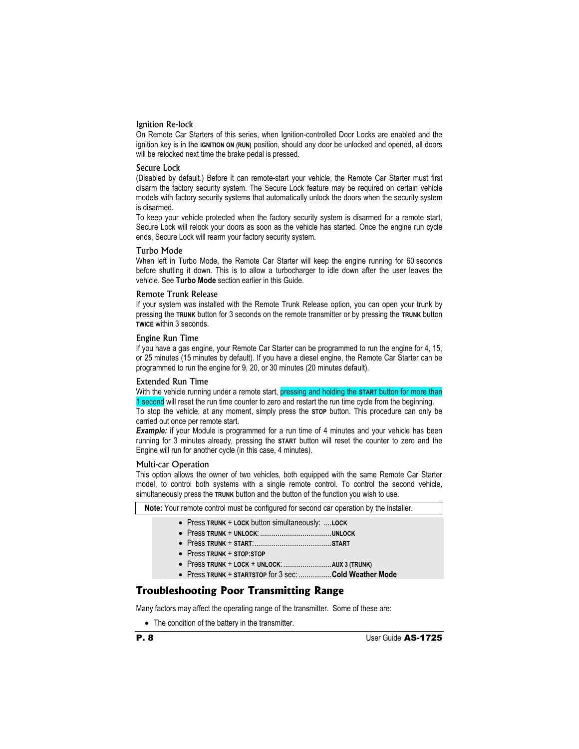#### Ignition Re-lock

On Remote Car Starters of this series, when Ignition-controlled Door Locks are enabled and the ignition key is in the **IGNITION ON (RUN)** position, should any door be unlocked and opened, all doors will be relocked next time the brake pedal is pressed.

#### Secure Lock

(Disabled by default.) Before it can remote-start your vehicle, the Remote Car Starter must first disarm the factory security system. The Secure Lock feature may be required on certain vehicle models with factory security systems that automatically unlock the doors when the security system is disarmed.

To keep your vehicle protected when the factory security system is disarmed for a remote start, Secure Lock will relock your doors as soon as the vehicle has started. Once the engine run cycle ends, Secure Lock will rearm your factory security system.

#### Turbo Mode

When left in Turbo Mode, the Remote Car Starter will keep the engine running for 60 seconds before shutting it down. This is to allow a turbocharger to idle down after the user leaves the vehicle. See **Turbo Mode** section earlier in this Guide.

#### Remote Trunk Release

If your system was installed with the Remote Trunk Release option, you can open your trunk by pressing the **TRUNK** button for 3 seconds on the remote transmitter or by pressing the **TRUNK** button **TWICE** within 3 seconds.

#### Engine Run Time

If you have a gas engine, your Remote Car Starter can be programmed to run the engine for 4, 15, or 25 minutes (15 minutes by default). If you have a diesel engine, the Remote Car Starter can be programmed to run the engine for 9, 20, or 30 minutes (20 minutes default).

#### Extended Run Time

With the vehicle running under a remote start, pressing and holding the **START** button for more than 1 second will reset the run time counter to zero and restart the run time cycle from the beginning.

To stop the vehicle, at any moment, simply press the **STOP** button. This procedure can only be carried out once per remote start.

**Example:** if your Module is programmed for a run time of 4 minutes and your vehicle has been running for 3 minutes already, pressing the **START** button will reset the counter to zero and the Engine will run for another cycle (in this case, 4 minutes).

#### Multi-car Operation

This option allows the owner of two vehicles, both equipped with the same Remote Car Starter model, to control both systems with a single remote control. To control the second vehicle, simultaneously press the **TRUNK** button and the button of the function you wish to use.

| Note: Your remote control must be configured for second car operation by the installer. |  |  |  |  |  |
|-----------------------------------------------------------------------------------------|--|--|--|--|--|
| • Press TRUNK + LOCK button simultaneously: LOCK                                        |  |  |  |  |  |
|                                                                                         |  |  |  |  |  |
|                                                                                         |  |  |  |  |  |
| • Press TRUNK + STOP:STOP                                                               |  |  |  |  |  |
|                                                                                         |  |  |  |  |  |
| • Press TRUNK + STARTSTOP for 3 sec: Cold Weather Mode                                  |  |  |  |  |  |
| <b>Troubleshooting Poor Transmitting Range</b>                                          |  |  |  |  |  |
| Many factors may affect the operating range of the transmitter. Some of these are:      |  |  |  |  |  |

• The condition of the battery in the transmitter.